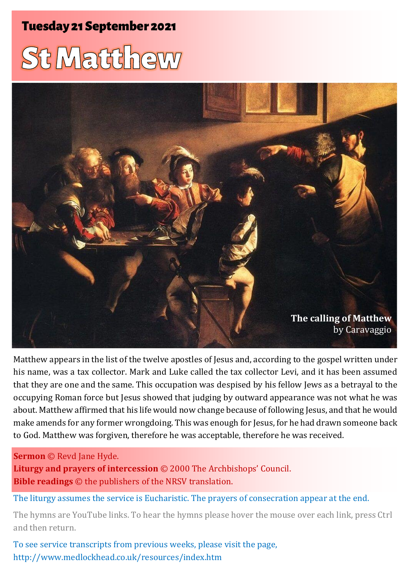# **Tuesday 21 September 2021**

# St Matthew



Matthew appears in the list of the twelve apostles of Jesus and, according to the gospel written under his name, was a tax collector. Mark and Luke called the tax collector Levi, and it has been assumed that they are one and the same. This occupation was despised by his fellow Jews as a betrayal to the occupying Roman force but Jesus showed that judging by outward appearance was not what he was about. Matthew affirmed that his life would now change because of following Jesus, and that he would make amends for any former wrongdoing. This was enough for Jesus, for he had drawn someone back to God. Matthew was forgiven, therefore he was acceptable, therefore he was received.

#### **Sermon** © Revd Jane Hyde.

**Liturgy and prayers of intercession** © 2000 The Archbishops' Council. **Bible readings** © the publishers of the NRSV translation.

The liturgy assumes the service is Eucharistic. The prayers of consecration appear at the end.

The hymns are YouTube links. To hear the hymns please hover the mouse over each link, press Ctrl and then return.

To see service transcripts from previous weeks, please visit the page, <http://www.medlockhead.co.uk/resources/index.htm>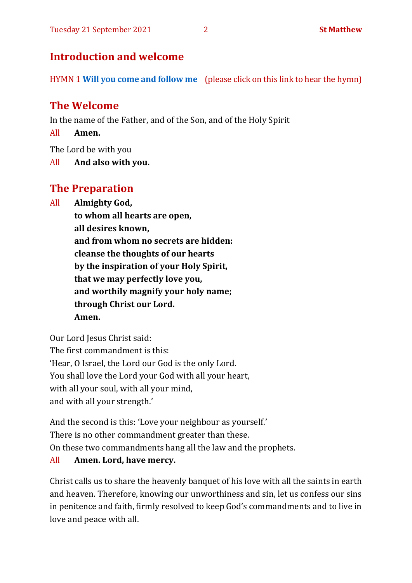#### **Introduction and welcome**

HYMN 1 **[Will you come and follow me](https://youtu.be/eAYM8pWCwWk)** (please click on this link to hear the hymn)

## **The Welcome**

In the name of the Father, and of the Son, and of the Holy Spirit

All **Amen.**

The Lord be with you

All **And also with you.**

## **The Preparation**

All **Almighty God,**

**to whom all hearts are open, all desires known, and from whom no secrets are hidden: cleanse the thoughts of our hearts by the inspiration of your Holy Spirit, that we may perfectly love you, and worthily magnify your holy name; through Christ our Lord. Amen.**

Our Lord Jesus Christ said: The first commandment is this: 'Hear, O Israel, the Lord our God is the only Lord. You shall love the Lord your God with all your heart, with all your soul, with all your mind, and with all your strength.'

And the second is this: 'Love your neighbour as yourself.' There is no other commandment greater than these. On these two commandments hang all the law and the prophets. All **Amen. Lord, have mercy.**

Christ calls us to share the heavenly banquet of his love with all the saints in earth and heaven. Therefore, knowing our unworthiness and sin, let us confess our sins in penitence and faith, firmly resolved to keep God's commandments and to live in love and peace with all.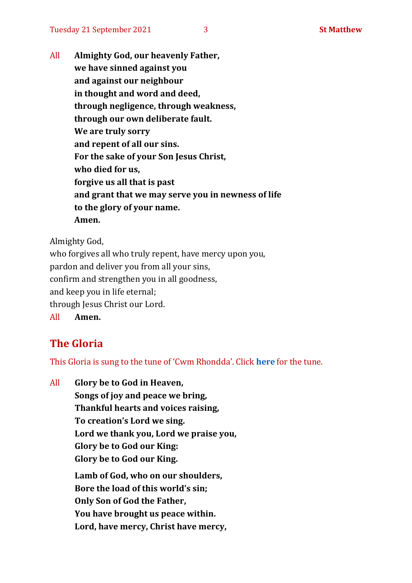All **Almighty God, our heavenly Father, we have sinned against you and against our neighbour in thought and word and deed, through negligence, through weakness, through our own deliberate fault. We are truly sorry and repent of all our sins. For the sake of your Son Jesus Christ, who died for us, forgive us all that is past and grant that we may serve you in newness of life to the glory of your name. Amen.**

Almighty God,

who forgives all who truly repent, have mercy upon you, pardon and deliver you from all your sins, confirm and strengthen you in all goodness, and keep you in life eternal; through Jesus Christ our Lord. All **Amen.**

# **The Gloria**

This Gloria is sung to the tune of 'Cwm Rhondda'. Click **[here](about:blank)** for the tune.

All **Glory be to God in Heaven, Songs of joy and peace we bring, Thankful hearts and voices raising, To creation's Lord we sing. Lord we thank you, Lord we praise you, Glory be to God our King: Glory be to God our King. Lamb of God, who on our shoulders, Bore the load of this world's sin; Only Son of God the Father, You have brought us peace within. Lord, have mercy, Christ have mercy,**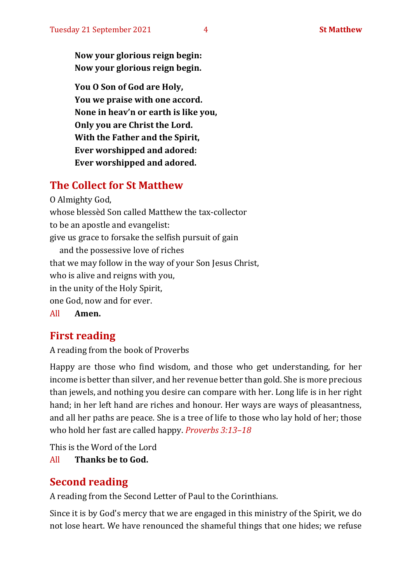**Now your glorious reign begin: Now your glorious reign begin.**

**You O Son of God are Holy, You we praise with one accord. None in heav'n or earth is like you, Only you are Christ the Lord. With the Father and the Spirit, Ever worshipped and adored: Ever worshipped and adored.**

## **The Collect for St Matthew**

O Almighty God, whose blessèd Son called Matthew the tax-collector to be an apostle and evangelist: give us grace to forsake the selfish pursuit of gain and the possessive love of riches that we may follow in the way of your Son Jesus Christ, who is alive and reigns with you, in the unity of the Holy Spirit, one God, now and for ever.

All **Amen.**

# **First reading**

A reading from the book of Proverbs

Happy are those who find wisdom, and those who get understanding, for her income is better than silver, and her revenue better than gold. She is more precious than jewels, and nothing you desire can compare with her. Long life is in her right hand; in her left hand are riches and honour. Her ways are ways of pleasantness, and all her paths are peace. She is a tree of life to those who lay hold of her; those who hold her fast are called happy. *Proverbs 3:13–18*

This is the Word of the Lord

All **Thanks be to God.**

# **Second reading**

A reading from the Second Letter of Paul to the Corinthians.

Since it is by God's mercy that we are engaged in this ministry of the Spirit, we do not lose heart. We have renounced the shameful things that one hides; we refuse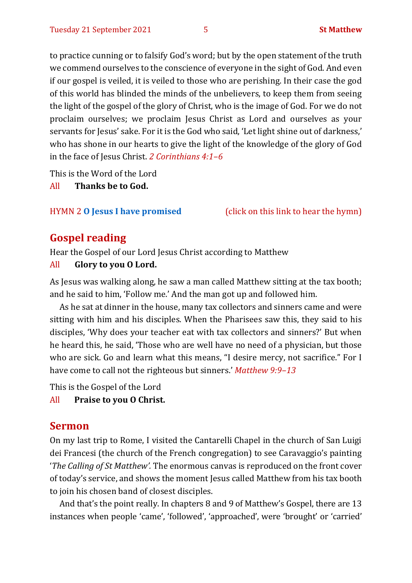to practice cunning or to falsify God's word; but by the open statement of the truth we commend ourselves to the conscience of everyone in the sight of God. And even if our gospel is veiled, it is veiled to those who are perishing. In their case the god of this world has blinded the minds of the unbelievers, to keep them from seeing the light of the gospel of the glory of Christ, who is the image of God. For we do not proclaim ourselves; we proclaim Jesus Christ as Lord and ourselves as your servants for Jesus' sake. For it is the God who said, 'Let light shine out of darkness,' who has shone in our hearts to give the light of the knowledge of the glory of God in the face of Jesus Christ. *2 Corinthians 4:1–6*

This is the Word of the Lord

All **Thanks be to God.**

#### HYMN 2 **[O Jesus I have promised](https://www.youtube.com/watch?v=z_JLAwhag3Y)** (click on this link to hear the hymn)

#### **Gospel reading**

Hear the Gospel of our Lord Jesus Christ according to Matthew

#### All **Glory to you O Lord.**

As Jesus was walking along, he saw a man called Matthew sitting at the tax booth; and he said to him, 'Follow me.' And the man got up and followed him.

As he sat at dinner in the house, many tax collectors and sinners came and were sitting with him and his disciples. When the Pharisees saw this, they said to his disciples, 'Why does your teacher eat with tax collectors and sinners?' But when he heard this, he said, 'Those who are well have no need of a physician, but those who are sick. Go and learn what this means, "I desire mercy, not sacrifice." For I have come to call not the righteous but sinners.' *Matthew 9:9–13*

This is the Gospel of the Lord

#### All **Praise to you O Christ.**

#### **Sermon**

On my last trip to Rome, I visited the Cantarelli Chapel in the church of San Luigi dei Francesi (the church of the French congregation) to see Caravaggio's painting '*The Calling of St Matthew'.* The enormous canvas is reproduced on the front cover of today's service, and shows the moment Jesus called Matthew from his tax booth to join his chosen band of closest disciples.

And that's the point really. In chapters 8 and 9 of Matthew's Gospel, there are 13 instances when people 'came', 'followed', 'approached', were 'brought' or 'carried'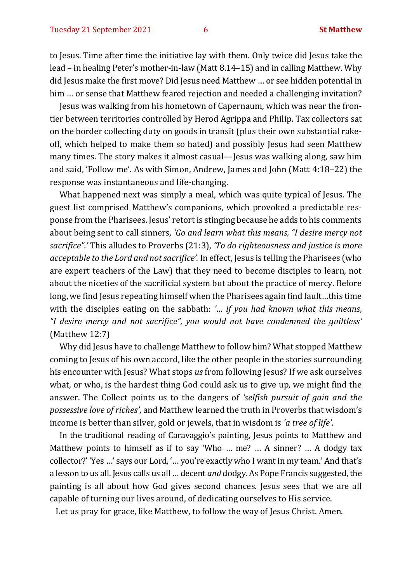to Jesus. Time after time the initiative lay with them. Only twice did Jesus take the lead – in healing Peter's mother-in-law (Matt 8.14–15) and in calling Matthew. Why did Jesus make the first move? Did Jesus need Matthew … or see hidden potential in him … or sense that Matthew feared rejection and needed a challenging invitation?

Jesus was walking from his hometown of Capernaum, which was near the frontier between territories controlled by Herod Agrippa and Philip. Tax collectors sat on the border collecting duty on goods in transit (plus their own substantial rakeoff, which helped to make them so hated) and possibly Jesus had seen Matthew many times. The story makes it almost casual—Jesus was walking along, saw him and said, 'Follow me'. As with Simon, Andrew, James and John (Matt 4:18–22) the response was instantaneous and life-changing.

What happened next was simply a meal, which was quite typical of Jesus. The guest list comprised Matthew's companions, which provoked a predictable response from the Pharisees. Jesus' retort is stinging because he adds to his comments about being sent to call sinners, *'Go and learn what this means, "I desire mercy not sacrifice".'* This alludes to Proverbs (21:3), *'To do righteousness and justice is more acceptable to the Lord and not sacrifice'.* In effect, Jesus is telling the Pharisees (who are expert teachers of the Law) that they need to become disciples to learn, not about the niceties of the sacrificial system but about the practice of mercy. Before long, we find Jesus repeating himself when the Pharisees again find fault…this time with the disciples eating on the sabbath: *'… if you had known what this means*, *"I desire mercy and not sacrifice", you would not have condemned the guiltless'* (Matthew 12:7)

Why did Jesus have to challenge Matthew to follow him? What stopped Matthew coming to Jesus of his own accord, like the other people in the stories surrounding his encounter with Jesus? What stops *us* from following Jesus? If we ask ourselves what, or who, is the hardest thing God could ask us to give up, we might find the answer. The Collect points us to the dangers of *'selfish pursuit of gain and the possessive love of riches'*, and Matthew learned the truth in Proverbs that wisdom's income is better than silver, gold or jewels, that in wisdom is *'a tree of life'*.

In the traditional reading of Caravaggio's painting, Jesus points to Matthew and Matthew points to himself as if to say 'Who … me? … A sinner? … A dodgy tax collector?' 'Yes …' says our Lord, '… you're exactly who I want in my team.' And that's a lesson to us all. Jesus calls us all … decent *and* dodgy. As Pope Francis suggested, the painting is all about how God gives second chances. Jesus sees that we are all capable of turning our lives around, of dedicating ourselves to His service.

Let us pray for grace, like Matthew, to follow the way of Jesus Christ. Amen.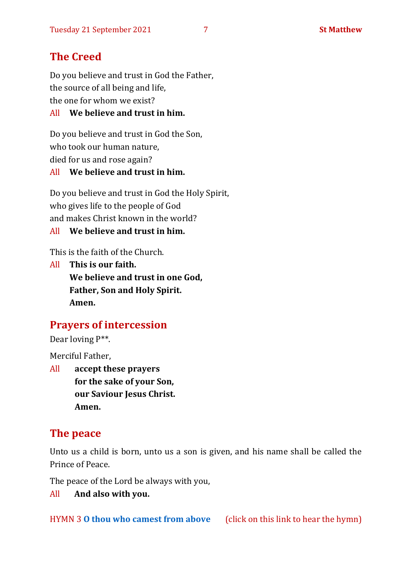# **The Creed**

Do you believe and trust in God the Father, the source of all being and life, the one for whom we exist?

#### All **We believe and trust in him.**

Do you believe and trust in God the Son, who took our human nature, died for us and rose again? All **We believe and trust in him.**

Do you believe and trust in God the Holy Spirit, who gives life to the people of God and makes Christ known in the world?

All **We believe and trust in him.**

This is the faith of the Church.

All **This is our faith. We believe and trust in one God, Father, Son and Holy Spirit. Amen.**

# **Prayers of intercession**

Dear loving P\*\*.

Merciful Father,

All **accept these prayers for the sake of your Son, our Saviour Jesus Christ. Amen.**

# **The peace**

Unto us a child is born, unto us a son is given, and his name shall be called the Prince of Peace.

The peace of the Lord be always with you,

All **And also with you.**

HYMN 3 0 thou who camest from above (click on this link to hear the hymn)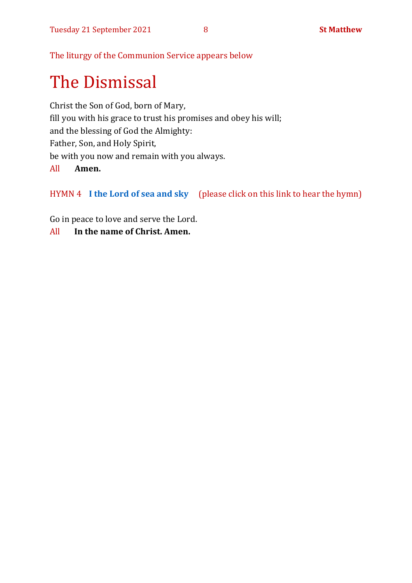The liturgy of the Communion Service appears below

# The Dismissal

Christ the Son of God, born of Mary, fill you with his grace to trust his promises and obey his will; and the blessing of God the Almighty: Father, Son, and Holy Spirit, be with you now and remain with you always.

#### All **Amen.**

#### HYMN 4 **[I the Lord of sea and sky](https://www.youtube.com/watch?v=cGNYDcqdl8g)** (please click on this link to hear the hymn)

Go in peace to love and serve the Lord.

#### All **In the name of Christ. Amen.**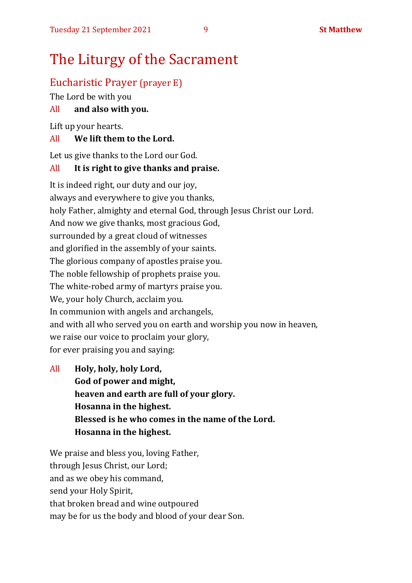# The Liturgy of the Sacrament

## Eucharistic Prayer (prayer E)

The Lord be with you

#### All **and also with you.**

Lift up your hearts.

#### All **We lift them to the Lord.**

Let us give thanks to the Lord our God.

#### All **It is right to give thanks and praise.**

It is indeed right, our duty and our joy, always and everywhere to give you thanks, holy Father, almighty and eternal God, through Jesus Christ our Lord. And now we give thanks, most gracious God, surrounded by a great cloud of witnesses and glorified in the assembly of your saints. The glorious company of apostles praise you. The noble fellowship of prophets praise you. The white-robed army of martyrs praise you. We, your holy Church, acclaim you. In communion with angels and archangels, and with all who served you on earth and worship you now in heaven, we raise our voice to proclaim your glory, for ever praising you and saying:

All **Holy, holy, holy Lord, God of power and might, heaven and earth are full of your glory. Hosanna in the highest. Blessed is he who comes in the name of the Lord. Hosanna in the highest.**

We praise and bless you, loving Father, through Jesus Christ, our Lord; and as we obey his command, send your Holy Spirit, that broken bread and wine outpoured may be for us the body and blood of your dear Son.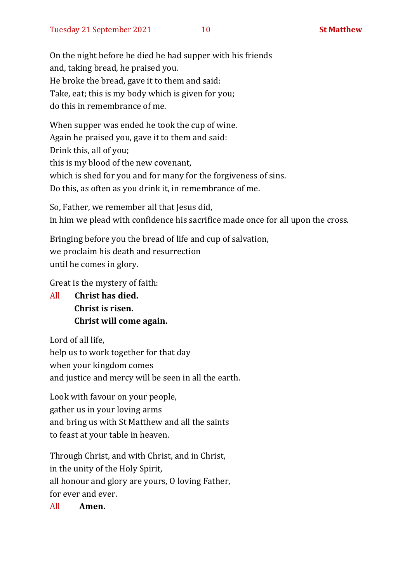On the night before he died he had supper with his friends and, taking bread, he praised you. He broke the bread, gave it to them and said: Take, eat; this is my body which is given for you; do this in remembrance of me.

When supper was ended he took the cup of wine. Again he praised you, gave it to them and said: Drink this, all of you; this is my blood of the new covenant, which is shed for you and for many for the forgiveness of sins. Do this, as often as you drink it, in remembrance of me.

So, Father, we remember all that Jesus did, in him we plead with confidence his sacrifice made once for all upon the cross.

Bringing before you the bread of life and cup of salvation, we proclaim his death and resurrection until he comes in glory.

Great is the mystery of faith:

All **Christ has died. Christ is risen. Christ will come again.**

Lord of all life, help us to work together for that day when your kingdom comes and justice and mercy will be seen in all the earth.

Look with favour on your people, gather us in your loving arms and bring us with St Matthew and all the saints to feast at your table in heaven.

Through Christ, and with Christ, and in Christ, in the unity of the Holy Spirit, all honour and glory are yours, O loving Father, for ever and ever.

All **Amen.**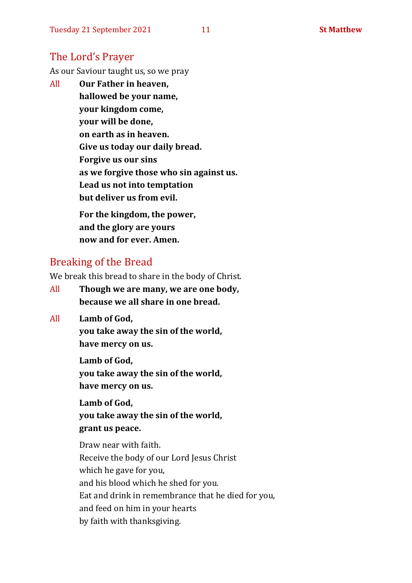#### The Lord's Prayer

As our Saviour taught us, so we pray

All **Our Father in heaven, hallowed be your name, your kingdom come, your will be done, on earth as in heaven. Give us today our daily bread. Forgive us our sins as we forgive those who sin against us. Lead us not into temptation but deliver us from evil. For the kingdom, the power,** 

**and the glory are yours now and for ever. Amen.**

#### Breaking of the Bread

We break this bread to share in the body of Christ.

- All **Though we are many, we are one body, because we all share in one bread.**
- All **Lamb of God,**

**you take away the sin of the world, have mercy on us.**

**Lamb of God, you take away the sin of the world, have mercy on us.**

**Lamb of God, you take away the sin of the world, grant us peace.**

Draw near with faith. Receive the body of our Lord Jesus Christ which he gave for you, and his blood which he shed for you. Eat and drink in remembrance that he died for you, and feed on him in your hearts by faith with thanksgiving.